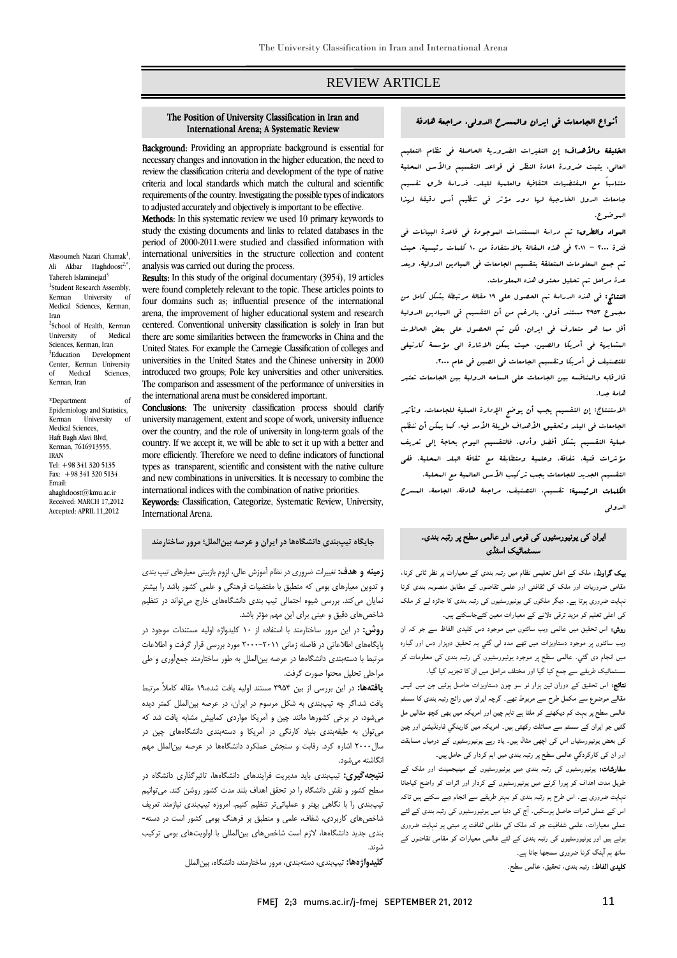# REVIEW ARTICLE

#### The Position of University Classification in Iran and<br>International Agency A Systematic Devices International Arena; A Systematic Review

Ī  $\overline{a}$ 

 Background: Providing an appropriate background is essential for **Example 1** necessary changes and innovation in the higher education, the need to review the classification criteria and development of the type of native criteria and local standards which match the cultural and scientific to adjusted accurately and objectively is important to be effective. requirements of the country. Investigating the possible types of indicators

 Methods: In this systematic review we used 10 primary keywords to period of 2000-2011.were studied and classified information with international universities in the structure collection and content study the existing documents and links to related databases in the analysis was carried out during the process.

analysis was carried out during the process.<br>**Results**: In this study of the original documentary (3954), 19 articles were found completely relevant to the topic. These articles points to four domains such as; influential presence of the international centered. Conventional university classification is solely in Iran but there are some similarities between the frameworks in China and the United States. For example the Carnegie Classification of colleges and<br>maintaining in the United States and the Chinese maintains in 2000. introduced two groups; Pole key universities and other universities. The comparison and assessment of the performance of universities in arena, the improvement of higher educational system and research universities in the United States and the Chinese university in 2000 the international arena must be considered important.

**Conclusions:** The university classification process should clarify university management, extent and scope of work, university influence over the country, and the role of university in long-term goals of the<br>country. If we accept it, we will be able to set it up with a better and more efficiently. Therefore we need to define indicators of functional types as transparent, scientific and consistent with the native culture international indices with the combination of native priorities. over the country, and the role of university in long-term goals of the and new combinations in universities. It is necessary to combine the

 Keywords: Classification, Categorize, Systematic Review, University, International Arena.

**جايگاه تيپبندي دانشگاهها در ايران <sup>و</sup> عرصه بينالملل؛ مرور ساختارمند**

 **زمينه و هدف:** تغييرات ضروري در نظام آموزش عالي، لزوم بازبيني معيارهاي تيپ بندي و تدوين معيارهاي بومي كه منطبق با مقتضيات فرهنگي و علمي كشور باشد را بيشتر نمايان ميكند. بررسي شيوه احتمالي تيپ بندي دانشگاههاي خارج ميتواند در تنظيم شاخصهاي دقيق و عيني براي اين مهم مؤثر باشد.

 **روش:** در اين مرور ساختارمند با استفاده از 10 كليدواژه اوليه مستندات موجود در پايگاههاي اطلاعاتي در فاصله زماني ۲۰۱۱–۲۰۰۰ مورد بررسي قرار گرفت و اطلاعات<br>سعداد است تورد بایدگاه استقلاعات استان مورد بررسي قرار گرفت و اطلاعات مراحلي تحليل محتوا صورت گرفت. مرتبط با دستهبندي دانشگاهها در عرصه بينالملل به طور ساختارمند جمعآوري و طي

 **يافتهها:** در اين بررسي از بين 3954 مستند اوليه يافت شده19، مقاله كاملاً مرتبط يافت شد.اگر چه تيپبندي به شكل مرسوم در ايران، در عرصه بينالملل كمتر ديده ميشود، در برخي كشورها مانند چين و آمريكا مواردي كمابيش مشابه يافت شد كه ميتوان به طبقهبندي بنياد كارنگي در آمريكا و دستهبندي دانشگاههاي چين در سال ۲۰۰۰ اشاره كرد. رقابت و سنجش عملكرد دانشگاهها در عرصه بين|لملل مهم انگاشته ميشود.

 **نتيجهگيري:** تيپبندي بايد مديريت فرايندهاي دانشگاهها، تاثيرگذاري دانشگاه در میهاد می**ری.**<br>سطح كشور و نقش دانشگاه را در تحقق اهداف بلند مدت كشور روشن كند. ميتوانيم تيپبندي را با نگاهي بهتر و عملياتيتر تنظيم كنيم. امروزه تيپبندي نيازمند تعريف شاخصهاي كاربردي، شفاف، علمي و منطبق بر فرهنگ بومي كشور است در دسته- بندي جديد دانشگاهها، لازم است شاخصهاي بينالمللي با اولويتهاي بومي تركيب شوند.

**كليدواژهها:** تيپبندي، دستهبندي، مرور ساختارمند، دانشگاه، بينالملل

## أنواع الجامعات في ايران والمسرح الدولي، مراجعة هادفة

Ī  $\overline{a}$ 

ا**لخليفة والأهداف:** إن التغيرات الضرورية الحاصلة ف<sub>ى</sub> نظام التعليم العالي، يثبت ضرورة اعادة النظر في قواعد التقسيم والأسس المحلية متناسباً مع المقتضيات الثقافية والعلمية للبلد. فدراسة طرق تقسيم جامعات الدول الخارجية لها دور مؤثر في تنظيم أسس دقيقة لهذا الموضوع.

ا**لمواد والطرق:** تم دراسة المستندات الموجودة ف<sub>ي</sub> قاعدة البيانات ف<sub>ي</sub><br>. فترة ٢٠١١ - ٢٠١١ في هذه البقالة بالاستفادة من ١٠ كلمات رئيسية. حيث<br>- تم جمع المعلومات المتعلقة بتقسيم الجامعات في الميادين الدولية، وبعد عدة مراحل تم تحليل محتوى هذه المعلومات.

ٔ مجموع ٣٩٥٢ مستند أولى. بالرغم من أن التقسيم في البيادين الدولية<br>م المشابهة في أمريكا والسين، حيث يمكن منها المشتوق معنى بسكل المشاكلات<br>المشابهة في أمريكا والصين، حيث يمكن الاشارة الى مؤسسة كارنيغي للتصنيكم في أمريك وتحتين التيحة وبنس الصحيح في التصنيف في أمريكا<br>للتصنيف في أمريكا وتقسيم الجامعات في الصين في عام ...؟. النتائج: في هذه الدراسة تم الحصول على 19 مقالة مرتبطة بشكل كامل من أقل مما هو متعارف في ايران، لكن تم الحصول على بعض الحالات

فالرقابه والمنافسه بين الجامعات على الساحه الدولية بين الجامعات تعتبر<br>در م هامة جدا.

.<br>الاستنتاج: إن التقسيم يجب أن يوضح الإدارة العملية للجامعات، وتأثير الجامعات في البلد وتحقيق الأهداف طويلة الأمد فيه. كما يمكن أن ننظم عملية التقسيم بشكل أفضل وأدق. فالتقسيم اليوم بحاجة إلى تعريف مؤشرات فنية، شفافة، وعلمية ومتطابقة مع ثقافة البلد المحلية. ففي التقسيم الجديد للجامعات يجب تركيب الأسس العالمية مع المحلية. الكلمات الرئيسية: تقسيم، التصنيف، مراجعة هادفة، الجامعة، المسرح الدولي

## ایران کی یونیورسٹیوں کی قومی اور عالمی سطح پر رتبہ بندی۔ سسٹماٹیک اسٹڈی

 بیک گراونڈ: ملک کے اعلی تعلیمی نظام میں رتبہ بندی کے معیارات پر نظر ثانی کرنا، مقامی ضروریات اور ملک کی ثقافتی اور علمی تقاضوں کے مطابق منصوبہ بندی کرنا نہایت ضروری ہوتا ہے۔ دیگر ملکوں کی یونیورسٹیوں کی رتبہ بندی کا جائزہ لے کر ملک کی اعلی تعلیم کو مزید ترقی دلانے کے معیارات معین کئےجاسکتے ہیں۔

روش: اس تحقیق میں عالمی ویب سائٹوں میں موجود دس کلیدی الفاظ سے جو کہ ان<br>میں سے مسیح <sub>نگ</sub>یا ساموں پر موجود مساریزت میں بھے میں میں سے پیچ مسین درر میارار میں در اس کے<br>میں انجام دی گئي۔ عالمی سطح پر موجود یونیورسٹیوں کی رتبہ بندی کی معلومات کو سسٹماٹیک طریقے سے جمع کیا گيا اور مختلف مراحل میں ان کا تجزیہ کیا گيا۔ ویب سائٹوں پر موجود دستاویزات میں تھے مدد لی گئي یہ تحقیق دوہزار دس اور گيارہ

 نتائج: اس تحقیق کے دوران تین ہزار نو سو چون دستاویزات حاصل ہوئيں جن میں انیس مقالے موضوع سے مکمل طرح سے مربوط تھے۔ گرچہ ایران میں رائج رتبہ بندی کا سسٹم عالمی سطح پر بہت کم دیکھنے کو ملتا ہے تاہم چین اور امریکہ میں بھی کچھ مثالیں مل کیں جو <sub>ایرا</sub>ں سے سسم سے مقابلت رکھتے ہیں۔ امریکم میں تارینکی فاوندیسن اور چین<br>کی بعض یونیورسٹیاں اس کی اچھی مثال ہیں۔ یاد رہے یونیورسٹیوں کے درمیاں مسابقت اور ان کی کارکردگي عالمی سطح پر رتبہ بندی میں اہم کردار کی حامل ہیں۔ گئيں جو ایران کے سسٹم سے مماثلت رکھتی ہیں۔ امریکہ میں کارینگي فاونڈیشن اور چین

 سفارشات: یونیورسٹیوں کی رتبہ بندی میں یونیورسٹیوں کے مینیجمینٹ اور ملک کے طویل مدت اھداف کو پورا کرنے میں یونیورسٹیوں کے کردار اور اثرات کو واضح کیاجانا نہایت ضروری ہے۔ اس طرح ہم رتبہ بندی کو بہتر طریقے سے انجام دیے سکتے ہیں تاکہ اس کے عملی ثمرات حاصل ہوسکیں۔ آج کی دنیا میں یونیورسٹیوں کی رتبہ بندی کے لئے ہیں اور یونیورسٹیوں کی رتبہ بندی کے لئے عالمی معیارات کو مقامی تقاضوں کے<br>وتے ہیں اور یونیورسٹیوں کی رتبہ بندی کے لئے عالمی معیارات کو مقامی تقاضوں کے ساتھ ہم آہنگ کرنا ضروری سمجھا جاتا ہے۔ عملی معیارات، علمی شفافیت جو کہ ملک کی مقامی ثفافت پر مبتی ہو نہایت ضروری

کلیدی الفاظ: رتبہ بندی، تحقیق، عالمی سطح۔

Ali Akbar Haghdoost<sup>2,\*</sup>, Tahereh Islaminejad<sup>3</sup> <sup>1</sup>Student Research Assembly, Kerman University of Medical Sciences, Kerman, Iran <sup>2</sup>School of Health, Kerman University of Medical Sciences, Kerman, Iran <sup>3</sup>Education Development Center, Kerman University Medical Sciences, Kerman, Iran

Masoumeh Nazari Chamak<sup>1</sup>,

\*Department of Epidemiology and Statistics, Kerman University of Medical Sciences, Haft Bagh Alavi Blvd, Kerman, 7616913555, IRAN Tel: +98 341 320 5135 Fax: +98 341 320 5134 Email: ahaghdoost@kmu.ac.ir Received: MARCH 17,2012 Accepted: APRIL 11,2012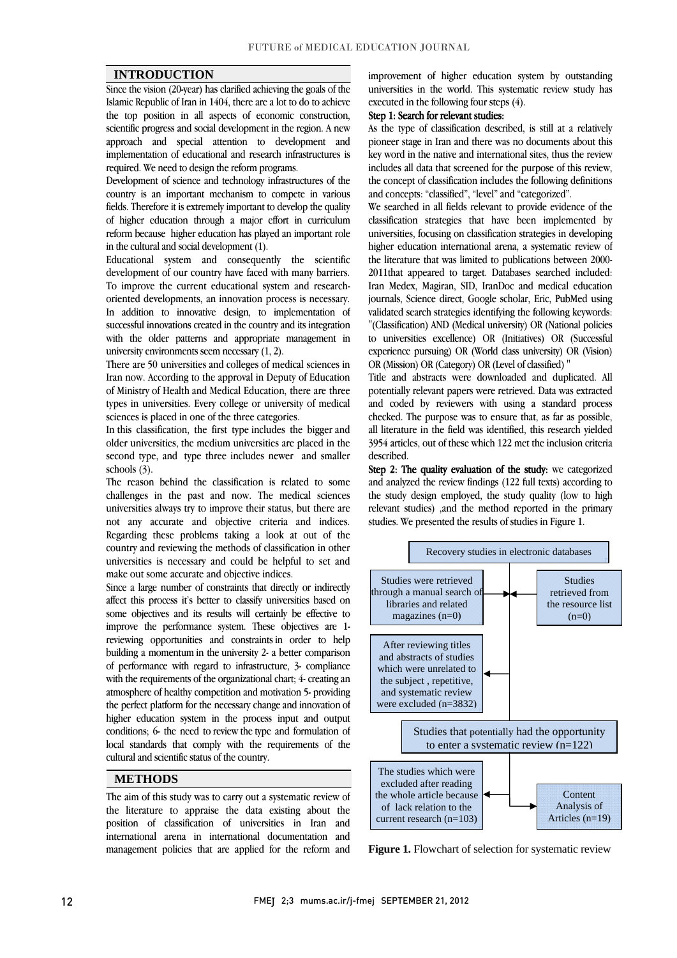## **INTRODUCTION**

 Since the vision (20-year) has clarified achieving the goals of the Islamic Republic of Iran in 1404, there are a lot to do to achieve scientific progress and social development in the region. A new approach and special attention to development and implementation of educational and research infrastructures is the top position in all aspects of economic construction, required. We need to design the reform programs.

required. We need to design the retorm programs.<br>Development of science and technology infrastructures of the country is an important mechanism to compete in various fields. Therefore it is extremely important to develop the quality of higher education through a major effort in curriculum reform because higher education has played an important role in the cultural and social development (1).

Educational system and consequently the scientific development of our country have faced with many barriers. To improve the current educational system and research- oriented developments, an innovation process is necessary. successful innovations created in the country and its integration with the older patterns and appropriate management in In addition to innovative design, to implementation of university environments seem necessary (1, 2).

 There are 50 universities and colleges of medical sciences in of Ministry of Health and Medical Education, there are three types in universities. Every college or university of medical Iran now. According to the approval in Deputy of Education sciences is placed in one of the three categories.

In this classification, the first type includes the bigger and<br>older universities, the medium universities are placed in the second type, and type three includes newer and smaller In this classification, the first type includes the bigger and schools (3).

 The reason behind the classification is related to some universities always try to improve their status, but there are not any accurate and objective criteria and indices. Regarding these problems taking a look at out of the country and reviewing the methods of classification in other universities is necessary and could be helpful to set and<br>make out some accurate and objective indices challenges in the past and now. The medical sciences make out some accurate and objective indices.

 Since a large number of constraints that directly or indirectly affect this process it's better to classify universities based on some objectives and its results will certainly be effective to reviewing opportunities and constraints in order to help building a momentum in the university 2- a better comparison of performance with regard to infrastructure, 3- compliance with the requirements of the organizational chart; 4- creating an the perfect platform for the necessary change and innovation of higher education system in the process input and output conditions; 6- the need to review the type and formulation of local standards that comply with the requirements of the l, improve the performance system. These objectives are 1 atmosphere of healthy competition and motivation 5- providing cultural and scientific status of the country.

# **METHODS**

 The aim of this study was to carry out a systematic review of position of classification of universities in Iran and international arena in international documentation and management policies that are applied for the reform and the literature to appraise the data existing about the

 universities in the world. This systematic review study has improvement of higher education system by outstanding executed in the following four steps (4).

## Step 1: Search for relevant studies:

 As the type of classification described, is still at a relatively pioneer stage in Iran and there was no documents about this key word in the native and international sites, thus the review includes all data that screened for the purpose of this review, the concept of classification includes the following definitions<br>and concepts, "classified", "level" and "categorized" and concepts: "classified", "level" and "categorized".

 We searched in all fields relevant to provide evidence of the classification strategies that have been implemented by universities, focusing on classification strategies in developing the literature that was limited to publications between 2000- 2011that appeared to target. Databases searched included: Iran Medex, Magiran, SID, IranDoc and medical education journals, Science direct, Google scholar, Eric, PubMed using "(Classification) AND (Medical university) OR (National policies to universities excellence) OR (Initiatives) OR (Successful experience pursuing) OR (World class university) OR (Vision) higher education international arena, a systematic review of validated search strategies identifying the following keywords: OR (Mission) OR (Category) OR (Level of classified) "

 Title and abstracts were downloaded and duplicated. All potentially relevant papers were retrieved. Data was extracted and coded by reviewers with using a standard process checked. The purpose was to ensure that, as far as possible, 3954 articles, out of these which 122 met the inclusion criteria all literature in the field was identified, this research yielded described.

Step 2: The quality evaluation of the study: we categorized and analyzed the review findings (122 full texts) according to relevant studies) ,and the method reported in the primary the study design employed, the study quality (low to high studies. We presented the results of studies in Figure 1.



**Figure 1.** Flowchart of selection for systematic review

 $\overline{a}$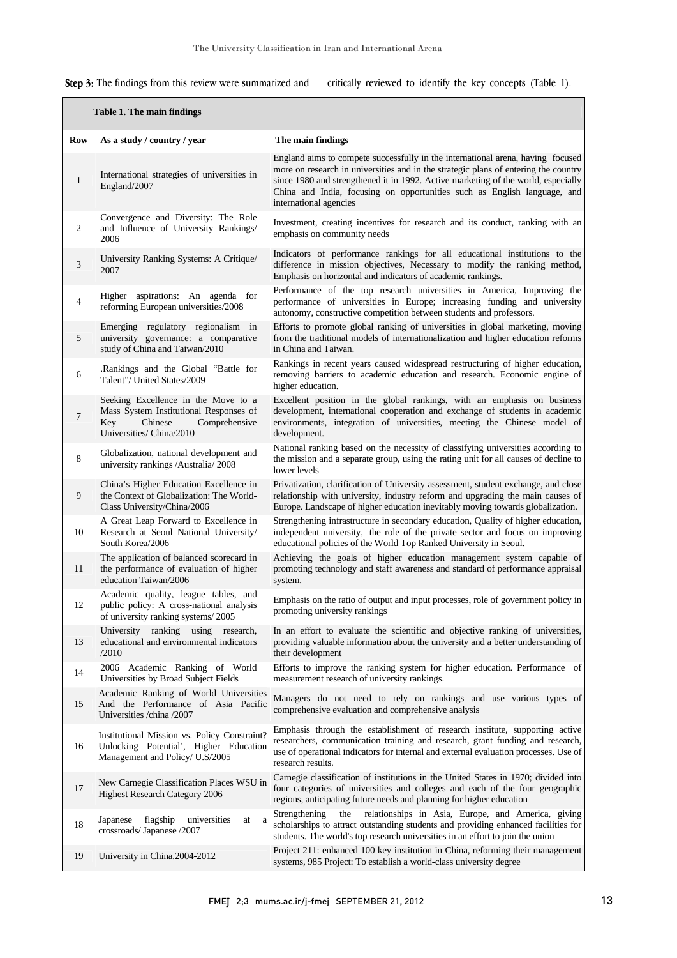| Step 3: The findings from this review were summarized and critically reviewed to identify the key concepts (Table 1). |
|-----------------------------------------------------------------------------------------------------------------------|
|-----------------------------------------------------------------------------------------------------------------------|

| Table 1. The main findings |                                                                                                                                             |                                                                                                                                                                                                                                                                                                                                                                   |  |
|----------------------------|---------------------------------------------------------------------------------------------------------------------------------------------|-------------------------------------------------------------------------------------------------------------------------------------------------------------------------------------------------------------------------------------------------------------------------------------------------------------------------------------------------------------------|--|
| Row                        | As a study / country / year                                                                                                                 | The main findings                                                                                                                                                                                                                                                                                                                                                 |  |
| $\mathbf{1}$               | International strategies of universities in<br>England/2007                                                                                 | England aims to compete successfully in the international arena, having focused<br>more on research in universities and in the strategic plans of entering the country<br>since 1980 and strengthened it in 1992. Active marketing of the world, especially<br>China and India, focusing on opportunities such as English language, and<br>international agencies |  |
| 2                          | Convergence and Diversity: The Role<br>and Influence of University Rankings/<br>2006                                                        | Investment, creating incentives for research and its conduct, ranking with an<br>emphasis on community needs                                                                                                                                                                                                                                                      |  |
| $\sqrt{3}$                 | University Ranking Systems: A Critique/<br>2007                                                                                             | Indicators of performance rankings for all educational institutions to the<br>difference in mission objectives, Necessary to modify the ranking method,<br>Emphasis on horizontal and indicators of academic rankings.                                                                                                                                            |  |
| $\overline{4}$             | Higher aspirations: An agenda for<br>reforming European universities/2008                                                                   | Performance of the top research universities in America, Improving the<br>performance of universities in Europe; increasing funding and university<br>autonomy, constructive competition between students and professors.                                                                                                                                         |  |
| 5                          | Emerging regulatory regionalism in<br>university governance: a comparative<br>study of China and Taiwan/2010                                | Efforts to promote global ranking of universities in global marketing, moving<br>from the traditional models of internationalization and higher education reforms<br>in China and Taiwan.                                                                                                                                                                         |  |
| 6                          | .Rankings and the Global "Battle for<br>Talent"/ United States/2009                                                                         | Rankings in recent years caused widespread restructuring of higher education,<br>removing barriers to academic education and research. Economic engine of<br>higher education.                                                                                                                                                                                    |  |
| 7                          | Seeking Excellence in the Move to a<br>Mass System Institutional Responses of<br>Chinese<br>Comprehensive<br>Key<br>Universities/China/2010 | Excellent position in the global rankings, with an emphasis on business<br>development, international cooperation and exchange of students in academic<br>environments, integration of universities, meeting the Chinese model of<br>development.                                                                                                                 |  |
| 8                          | Globalization, national development and<br>university rankings /Australia/ 2008                                                             | National ranking based on the necessity of classifying universities according to<br>the mission and a separate group, using the rating unit for all causes of decline to<br>lower levels                                                                                                                                                                          |  |
| 9                          | China's Higher Education Excellence in<br>the Context of Globalization: The World-<br>Class University/China/2006                           | Privatization, clarification of University assessment, student exchange, and close<br>relationship with university, industry reform and upgrading the main causes of<br>Europe. Landscape of higher education inevitably moving towards globalization.                                                                                                            |  |
| $10\,$                     | A Great Leap Forward to Excellence in<br>Research at Seoul National University/<br>South Korea/2006                                         | Strengthening infrastructure in secondary education, Quality of higher education,<br>independent university, the role of the private sector and focus on improving<br>educational policies of the World Top Ranked University in Seoul.                                                                                                                           |  |
| 11                         | The application of balanced scorecard in<br>the performance of evaluation of higher<br>education Taiwan/2006                                | Achieving the goals of higher education management system capable of<br>promoting technology and staff awareness and standard of performance appraisal<br>system.                                                                                                                                                                                                 |  |
| 12                         | Academic quality, league tables, and<br>public policy: A cross-national analysis<br>of university ranking systems/2005                      | Emphasis on the ratio of output and input processes, role of government policy in<br>promoting university rankings                                                                                                                                                                                                                                                |  |
| 13                         | University ranking using research,<br>educational and environmental indicators<br>/2010                                                     | In an effort to evaluate the scientific and objective ranking of universities,<br>providing valuable information about the university and a better understanding of<br>their development                                                                                                                                                                          |  |
| 14                         | 2006 Academic Ranking of World<br>Universities by Broad Subject Fields                                                                      | Efforts to improve the ranking system for higher education. Performance of<br>measurement research of university rankings.                                                                                                                                                                                                                                        |  |
| 15                         | Academic Ranking of World Universities<br>And the Performance of Asia Pacific<br>Universities / china / 2007                                | Managers do not need to rely on rankings and use various types of<br>comprehensive evaluation and comprehensive analysis                                                                                                                                                                                                                                          |  |
| 16                         | Institutional Mission vs. Policy Constraint?<br>Unlocking Potential', Higher Education<br>Management and Policy/ U.S/2005                   | Emphasis through the establishment of research institute, supporting active<br>researchers, communication training and research, grant funding and research,<br>use of operational indicators for internal and external evaluation processes. Use of<br>research results.                                                                                         |  |
| 17                         | New Carnegie Classification Places WSU in<br>Highest Research Category 2006                                                                 | Carnegie classification of institutions in the United States in 1970; divided into<br>four categories of universities and colleges and each of the four geographic<br>regions, anticipating future needs and planning for higher education                                                                                                                        |  |
| 18                         | Japanese<br>flagship<br>universities<br>at<br>a<br>crossroads/ Japanese /2007                                                               | the<br>relationships in Asia, Europe, and America, giving<br>Strengthening<br>scholarships to attract outstanding students and providing enhanced facilities for<br>students. The world's top research universities in an effort to join the union                                                                                                                |  |
| 19                         | University in China.2004-2012                                                                                                               | Project 211: enhanced 100 key institution in China, reforming their management<br>systems, 985 Project: To establish a world-class university degree                                                                                                                                                                                                              |  |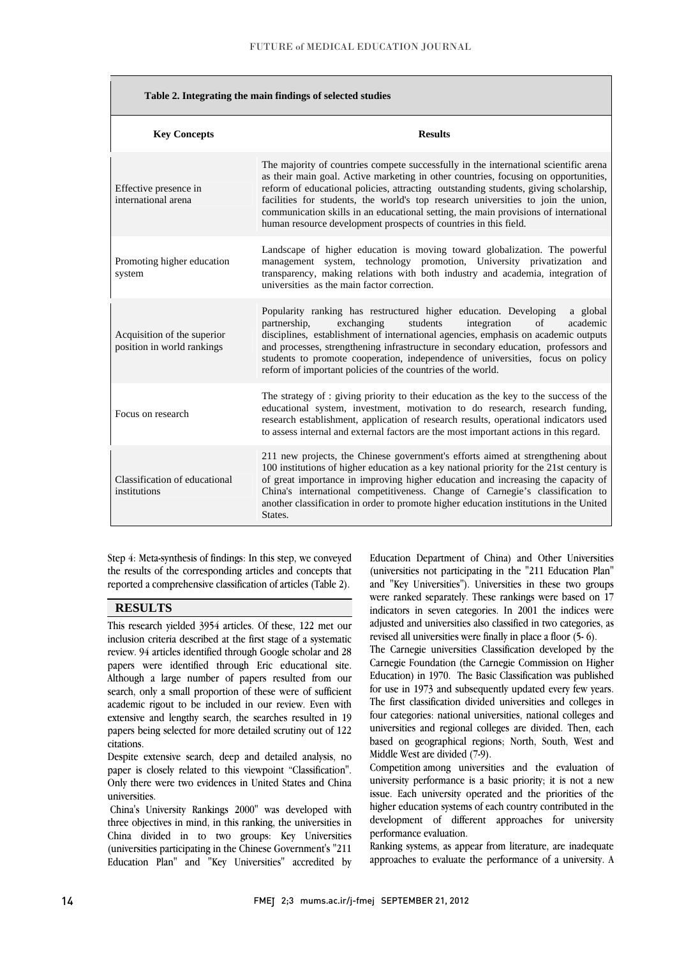L

| Table 2. Integrating the main findings of selected studies |                                                                                                                                                                                                                                                                                                                                                                                                                                                                                                                      |  |  |
|------------------------------------------------------------|----------------------------------------------------------------------------------------------------------------------------------------------------------------------------------------------------------------------------------------------------------------------------------------------------------------------------------------------------------------------------------------------------------------------------------------------------------------------------------------------------------------------|--|--|
| <b>Key Concepts</b>                                        | <b>Results</b>                                                                                                                                                                                                                                                                                                                                                                                                                                                                                                       |  |  |
| Effective presence in<br>international arena               | The majority of countries compete successfully in the international scientific arena<br>as their main goal. Active marketing in other countries, focusing on opportunities,<br>reform of educational policies, attracting outstanding students, giving scholarship,<br>facilities for students, the world's top research universities to join the union,<br>communication skills in an educational setting, the main provisions of international<br>human resource development prospects of countries in this field. |  |  |
| Promoting higher education<br>system                       | Landscape of higher education is moving toward globalization. The powerful<br>management system, technology promotion, University privatization and<br>transparency, making relations with both industry and academia, integration of<br>universities as the main factor correction.                                                                                                                                                                                                                                 |  |  |
| Acquisition of the superior<br>position in world rankings  | Popularity ranking has restructured higher education. Developing<br>a global<br>partnership,<br>students<br>of<br>academic<br>exchanging<br>integration<br>disciplines, establishment of international agencies, emphasis on academic outputs<br>and processes, strengthening infrastructure in secondary education, professors and<br>students to promote cooperation, independence of universities, focus on policy<br>reform of important policies of the countries of the world.                                 |  |  |
| Focus on research                                          | The strategy of : giving priority to their education as the key to the success of the<br>educational system, investment, motivation to do research, research funding,<br>research establishment, application of research results, operational indicators used<br>to assess internal and external factors are the most important actions in this regard.                                                                                                                                                              |  |  |
| Classification of educational<br>institutions              | 211 new projects, the Chinese government's efforts aimed at strengthening about<br>100 institutions of higher education as a key national priority for the 21st century is<br>of great importance in improving higher education and increasing the capacity of<br>China's international competitiveness. Change of Carnegie's classification to<br>another classification in order to promote higher education institutions in the United<br>States.                                                                 |  |  |

j

 Step 4: Meta-synthesis of findings: In this step, we conveyed the results of the corresponding articles and concepts that reported a comprehensive classification of articles (Table 2).

## **RESULTS**

 This research yielded 3954 articles. Of these, 122 met our inclusion criteria described at the first stage of a systematic review. 94 articles identified through Google scholar and 28 papers were identified through Eric educational site. search, only a small proportion of these were of sufficient academic rigout to be included in our review. Even with extensive and lengthy search, the searches resulted in 19 papers being selected for more detailed scrutiny out of 122 Although a large number of papers resulted from our citations.

 Despite extensive search, deep and detailed analysis, no paper is closely related to this viewpoint "Classification". Only there were two evidences in United States and China universities.

 China's University Rankings 2000" was developed with three objectives in mind, in this ranking, the universities in China divided in to two groups: Key Universities (universities participating in the Chinese Government's "211 Education Plan" and "Key Universities" accredited by

 Education Department of China) and Other Universities (universities not participating in the "211 Education Plan" and "Key Universities"). Universities in these two groups were ranked separately. These rankings were based on 17 adjusted and universities also classified in two categories, as indicators in seven categories. In 2001 the indices were revised all universities were finally in place a floor (5- 6).

 The Carnegie universities Classification developed by the Carnegie Foundation (the Carnegie Commission on Higher for use in 1973 and subsequently updated every few years. The first classification divided universities and colleges in four categories: national universities, national colleges and  $\mathbf{C}$  based on geographical regions; North, South, West and Education) in 1970. The Basic Classification was published universities and regional colleges are divided. Then, each Middle West are divided (7-9).

 Competition among universities and the evaluation of university performance is a basic priority; it is not a new higher education systems of each country contributed in the development of different approaches for university issue. Each university operated and the priorities of the performance evaluation.

 Ranking systems, as appear from literature, are inadequate approaches to evaluate the performance of a university. A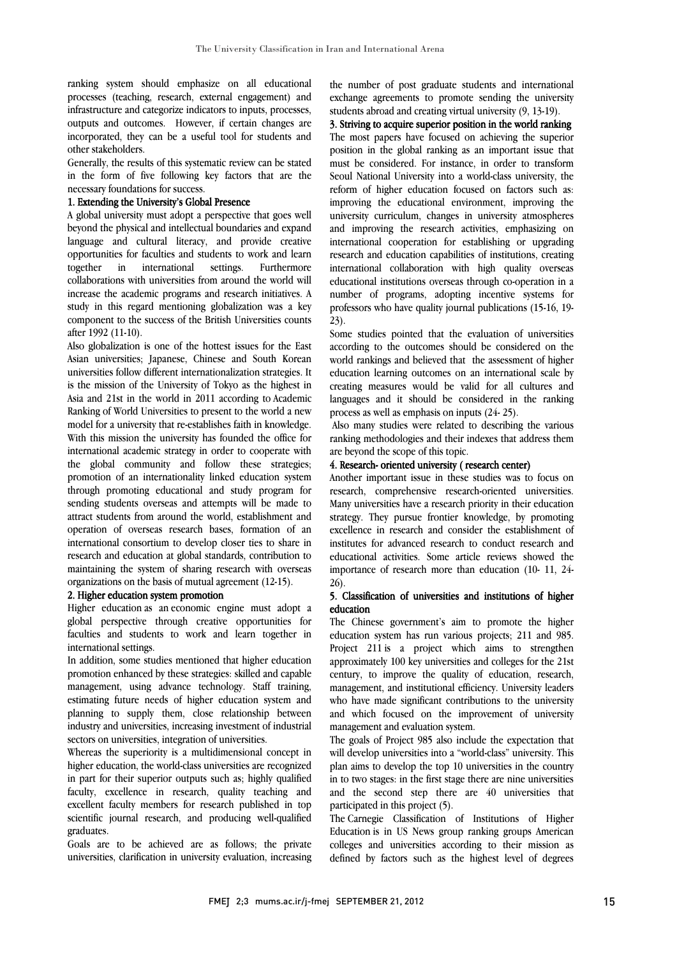ranking system should emphasize on all educational processes (teaching, research, external engagement) and infrastructure and categorize indicators to inputs, processes, outputs and outcomes. However, if certain changes are incorporated, they can be a useful tool for students and other stakeholders.

Generally, the results of this systematic review can be stated in the form of five following key factors that are the necessary foundations for success.

## 1. Extending the University's Global Presence

A global university must adopt a perspective that goes well beyond the physical and intellectual boundaries and expand language and cultural literacy, and provide creative opportunities for faculties and students to work and learn together in international settings. Furthermore collaborations with universities from around the world will increase the academic programs and research initiatives. A study in this regard mentioning globalization was a key component to the success of the British Universities counts after 1992 (11-10).

Also globalization is one of the hottest issues for the East Asian universities; Japanese, Chinese and South Korean universities follow different internationalization strategies. It is the mission of the University of Tokyo as the highest in Asia and 21st in the world in 2011 according to Academic Ranking of World Universities to present to the world a new model for a university that re-establishes faith in knowledge. With this mission the university has founded the office for international academic strategy in order to cooperate with the global community and follow these strategies; promotion of an internationality linked education system through promoting educational and study program for sending students overseas and attempts will be made to attract students from around the world, establishment and operation of overseas research bases, formation of an international consortium to develop closer ties to share in research and education at global standards, contribution to maintaining the system of sharing research with overseas organizations on the basis of mutual agreement (12-15).

## 2. Higher education system promotion

Higher education as an economic engine must adopt a global perspective through creative opportunities for faculties and students to work and learn together in international settings.

In addition, some studies mentioned that higher education promotion enhanced by these strategies: skilled and capable management, using advance technology. Staff training, estimating future needs of higher education system and planning to supply them, close relationship between industry and universities, increasing investment of industrial sectors on universities, integration of universities.

Whereas the superiority is a multidimensional concept in higher education, the world-class universities are recognized in part for their superior outputs such as; highly qualified faculty, excellence in research, quality teaching and excellent faculty members for research published in top scientific journal research, and producing well-qualified graduates.

Goals are to be achieved are as follows; the private universities, clarification in university evaluation, increasing the number of post graduate students and international exchange agreements to promote sending the university students abroad and creating virtual university (9, 13-19).

3. Striving to acquire superior position in the world ranking

The most papers have focused on achieving the superior position in the global ranking as an important issue that must be considered. For instance, in order to transform Seoul National University into a world-class university, the reform of higher education focused on factors such as: improving the educational environment, improving the university curriculum, changes in university atmospheres and improving the research activities, emphasizing on international cooperation for establishing or upgrading research and education capabilities of institutions, creating international collaboration with high quality overseas educational institutions overseas through co-operation in a number of programs, adopting incentive systems for professors who have quality journal publications (15-16, 19- 23).

Some studies pointed that the evaluation of universities according to the outcomes should be considered on the world rankings and believed that the assessment of higher education learning outcomes on an international scale by creating measures would be valid for all cultures and languages and it should be considered in the ranking process as well as emphasis on inputs (24- 25).

Also many studies were related to describing the various ranking methodologies and their indexes that address them are beyond the scope of this topic.

#### 4. Research- oriented university ( research center)

Another important issue in these studies was to focus on research, comprehensive research-oriented universities. Many universities have a research priority in their education strategy. They pursue frontier knowledge, by promoting excellence in research and consider the establishment of institutes for advanced research to conduct research and educational activities. Some article reviews showed the importance of research more than education (10- 11, 24- 26).

### 5. Classification of universities and institutions of higher education

The Chinese government's aim to promote the higher education system has run various projects; 211 and 985. Project 211 is a project which aims to strengthen approximately 100 key universities and colleges for the 21st century, to improve the quality of education, research, management, and institutional efficiency. University leaders who have made significant contributions to the university and which focused on the improvement of university management and evaluation system.

The goals of Project 985 also include the expectation that will develop universities into a "world-class" university. This plan aims to develop the top 10 universities in the country in to two stages: in the first stage there are nine universities and the second step there are 40 universities that participated in this project (5).

The Carnegie Classification of Institutions of Higher Education is in US News group ranking groups American colleges and universities according to their mission as defined by factors such as the highest level of degrees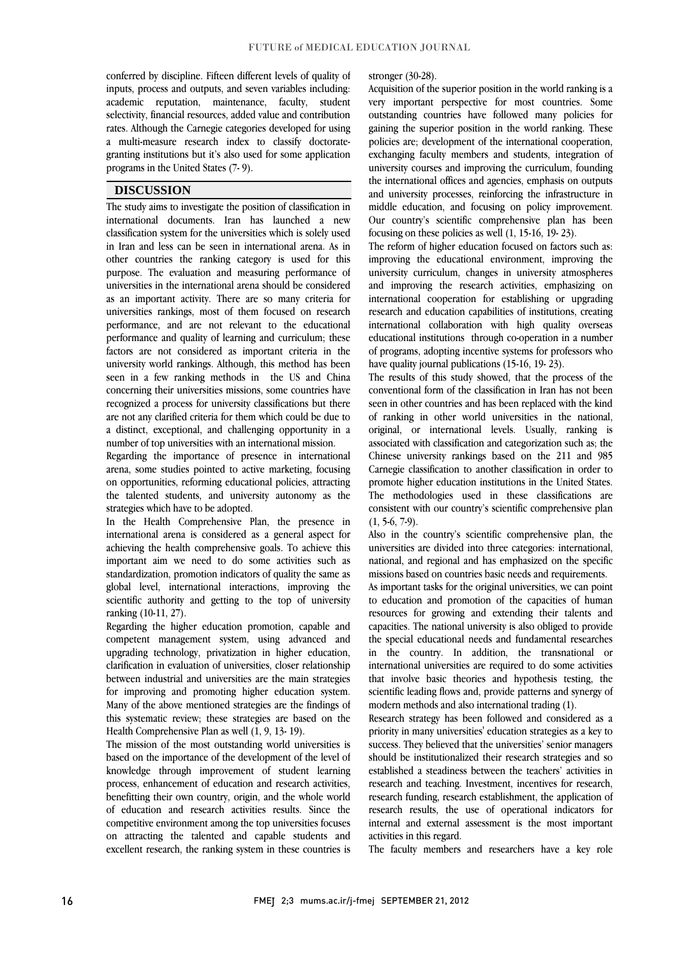conferred by discipline. Fifteen different levels of quality of inputs, process and outputs, and seven variables including: academic reputation, maintenance, faculty, student selectivity, financial resources, added value and contribution rates. Although the Carnegie categories developed for using a multi-measure research index to classify doctorategranting institutions but it's also used for some application programs in the United States (7- 9).

## **DISCUSSION**

The study aims to investigate the position of classification in international documents. Iran has launched a new classification system for the universities which is solely used in Iran and less can be seen in international arena. As in other countries the ranking category is used for this purpose. The evaluation and measuring performance of universities in the international arena should be considered as an important activity. There are so many criteria for universities rankings, most of them focused on research performance, and are not relevant to the educational performance and quality of learning and curriculum; these factors are not considered as important criteria in the university world rankings. Although, this method has been seen in a few ranking methods in the US and China concerning their universities missions, some countries have recognized a process for university classifications but there are not any clarified criteria for them which could be due to a distinct, exceptional, and challenging opportunity in a number of top universities with an international mission.

Regarding the importance of presence in international arena, some studies pointed to active marketing, focusing on opportunities, reforming educational policies, attracting the talented students, and university autonomy as the strategies which have to be adopted.

In the Health Comprehensive Plan, the presence in international arena is considered as a general aspect for achieving the health comprehensive goals. To achieve this important aim we need to do some activities such as standardization, promotion indicators of quality the same as global level, international interactions, improving the scientific authority and getting to the top of university ranking (10-11, 27).

Regarding the higher education promotion, capable and competent management system, using advanced and upgrading technology, privatization in higher education, clarification in evaluation of universities, closer relationship between industrial and universities are the main strategies for improving and promoting higher education system. Many of the above mentioned strategies are the findings of this systematic review; these strategies are based on the Health Comprehensive Plan as well (1, 9, 13- 19).

The mission of the most outstanding world universities is based on the importance of the development of the level of knowledge through improvement of student learning process, enhancement of education and research activities, benefitting their own country, origin, and the whole world of education and research activities results. Since the competitive environment among the top universities focuses on attracting the talented and capable students and excellent research, the ranking system in these countries is

#### stronger (30-28).

Acquisition of the superior position in the world ranking is a very important perspective for most countries. Some outstanding countries have followed many policies for gaining the superior position in the world ranking. These policies are; development of the international cooperation, exchanging faculty members and students, integration of university courses and improving the curriculum, founding the international offices and agencies, emphasis on outputs and university processes, reinforcing the infrastructure in middle education, and focusing on policy improvement. Our country's scientific comprehensive plan has been focusing on these policies as well (1, 15-16, 19- 23).

The reform of higher education focused on factors such as: improving the educational environment, improving the university curriculum, changes in university atmospheres and improving the research activities, emphasizing on international cooperation for establishing or upgrading research and education capabilities of institutions, creating international collaboration with high quality overseas educational institutions through co-operation in a number of programs, adopting incentive systems for professors who have quality journal publications (15-16, 19-23).

The results of this study showed, that the process of the conventional form of the classification in Iran has not been seen in other countries and has been replaced with the kind of ranking in other world universities in the national, original, or international levels. Usually, ranking is associated with classification and categorization such as; the Chinese university rankings based on the 211 and 985 Carnegie classification to another classification in order to promote higher education institutions in the United States. The methodologies used in these classifications are consistent with our country's scientific comprehensive plan  $(1, 5.6, 7.9).$ 

Also in the country's scientific comprehensive plan, the universities are divided into three categories: international, national, and regional and has emphasized on the specific missions based on countries basic needs and requirements.

As important tasks for the original universities, we can point to education and promotion of the capacities of human resources for growing and extending their talents and capacities. The national university is also obliged to provide the special educational needs and fundamental researches in the country. In addition, the transnational or international universities are required to do some activities that involve basic theories and hypothesis testing, the scientific leading flows and, provide patterns and synergy of modern methods and also international trading (1).

Research strategy has been followed and considered as a priority in many universities' education strategies as a key to success. They believed that the universities' senior managers should be institutionalized their research strategies and so established a steadiness between the teachers' activities in research and teaching. Investment, incentives for research, research funding, research establishment, the application of research results, the use of operational indicators for internal and external assessment is the most important activities in this regard.

The faculty members and researchers have a key role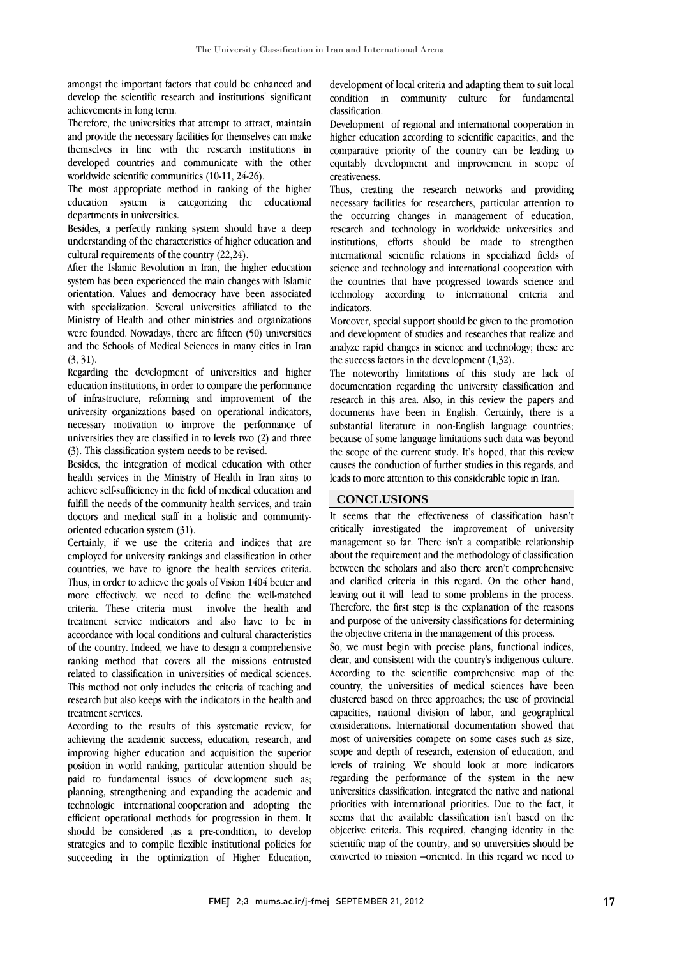amongst the important factors that could be enhanced and develop the scientific research and institutions' significant achievements in long term.

Therefore, the universities that attempt to attract, maintain and provide the necessary facilities for themselves can make themselves in line with the research institutions in developed countries and communicate with the other worldwide scientific communities (10-11, 24-26).

The most appropriate method in ranking of the higher education system is categorizing the educational departments in universities.

Besides, a perfectly ranking system should have a deep understanding of the characteristics of higher education and cultural requirements of the country (22,24).

After the Islamic Revolution in Iran, the higher education system has been experienced the main changes with Islamic orientation. Values and democracy have been associated with specialization. Several universities affiliated to the Ministry of Health and other ministries and organizations were founded. Nowadays, there are fifteen (50) universities and the Schools of Medical Sciences in many cities in Iran (3, 31).

Regarding the development of universities and higher education institutions, in order to compare the performance of infrastructure, reforming and improvement of the university organizations based on operational indicators, necessary motivation to improve the performance of universities they are classified in to levels two (2) and three (3). This classification system needs to be revised.

Besides, the integration of medical education with other health services in the Ministry of Health in Iran aims to achieve self-sufficiency in the field of medical education and fulfill the needs of the community health services, and train doctors and medical staff in a holistic and communityoriented education system (31).

Certainly, if we use the criteria and indices that are employed for university rankings and classification in other countries, we have to ignore the health services criteria. Thus, in order to achieve the goals of Vision 1404 better and more effectively, we need to define the well-matched criteria. These criteria must involve the health and treatment service indicators and also have to be in accordance with local conditions and cultural characteristics of the country. Indeed, we have to design a comprehensive ranking method that covers all the missions entrusted related to classification in universities of medical sciences. This method not only includes the criteria of teaching and research but also keeps with the indicators in the health and treatment services.

According to the results of this systematic review, for achieving the academic success, education, research, and improving higher education and acquisition the superior position in world ranking, particular attention should be paid to fundamental issues of development such as; planning, strengthening and expanding the academic and technologic international cooperation and adopting the efficient operational methods for progression in them. It should be considered ,as a pre-condition, to develop strategies and to compile flexible institutional policies for succeeding in the optimization of Higher Education,

development of local criteria and adapting them to suit local condition in community culture for fundamental classification.

Development of regional and international cooperation in higher education according to scientific capacities, and the comparative priority of the country can be leading to equitably development and improvement in scope of creativeness.

Thus, creating the research networks and providing necessary facilities for researchers, particular attention to the occurring changes in management of education, research and technology in worldwide universities and institutions, efforts should be made to strengthen international scientific relations in specialized fields of science and technology and international cooperation with the countries that have progressed towards science and technology according to international criteria and indicators.

Moreover, special support should be given to the promotion and development of studies and researches that realize and analyze rapid changes in science and technology; these are the success factors in the development (1,32).

The noteworthy limitations of this study are lack of documentation regarding the university classification and research in this area. Also, in this review the papers and documents have been in English. Certainly, there is a substantial literature in non-English language countries; because of some language limitations such data was beyond the scope of the current study. It's hoped, that this review causes the conduction of further studies in this regards, and leads to more attention to this considerable topic in Iran.

## **CONCLUSIONS**

It seems that the effectiveness of classification hasn't critically investigated the improvement of university management so far. There isn't a compatible relationship about the requirement and the methodology of classification between the scholars and also there aren't comprehensive and clarified criteria in this regard. On the other hand, leaving out it will lead to some problems in the process. Therefore, the first step is the explanation of the reasons and purpose of the university classifications for determining the objective criteria in the management of this process.

So, we must begin with precise plans, functional indices, clear, and consistent with the country's indigenous culture. According to the scientific comprehensive map of the country, the universities of medical sciences have been clustered based on three approaches; the use of provincial capacities, national division of labor, and geographical considerations. International documentation showed that most of universities compete on some cases such as size, scope and depth of research, extension of education, and levels of training. We should look at more indicators regarding the performance of the system in the new universities classification, integrated the native and national priorities with international priorities. Due to the fact, it seems that the available classification isn't based on the objective criteria. This required, changing identity in the scientific map of the country, and so universities should be converted to mission –oriented. In this regard we need to